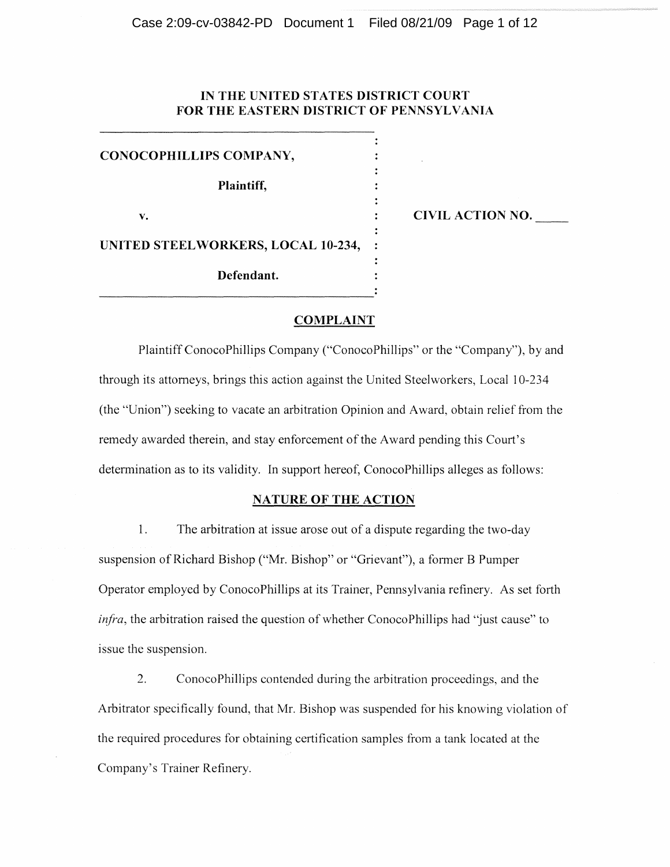# **IN THE UNITED STATES DISTRICT COURT FOR THE EASTERN DISTRICT OF PENNSYLVANIA**

 $\ddot{\cdot}$ 

 $\ddot{\cdot}$  $\ddot{\cdot}$ 

**CONOCOPHILLIPS COMPANY, Plaintiff,**  v. **cIVIL ACTION NO. c UNITED STEELWORKERS, LOCAL 10-234, Defendant.** 

## **COMPLAINT**

Plaintiff ConocoPhillips Company ("ConocoPhillips" or the "Company"), by and through its attorneys, brings this action against the United Steelworkers, Local 10-234 (the "Union") seeking to vacate an arbitration Opinion and Award, obtain relief from the remedy awarded therein, and stay enforcement of the Award pending this Court's determination as to its validity. In support hereof, ConocoPhillips alleges as follows:

#### **NATURE OF THE ACTION**

1. The arbitration at issue arose out of a dispute regarding the two-day suspension of Richard Bishop ("Mr. Bishop" or "Grievant"), a former B Pumper Operator employed by ConocoPhillips at its Trainer, Pennsylvania refinery. As set forth *infra*, the arbitration raised the question of whether ConocoPhillips had "just cause" to issue the suspension.

2. ConocoPhillips contended during the arbitration proceedings, and the Arbitrator specifically found, that Mr. Bishop was suspended for his knowing violation of the required procedures for obtaining certification samples from a tank located at the Company's Trainer Refinery.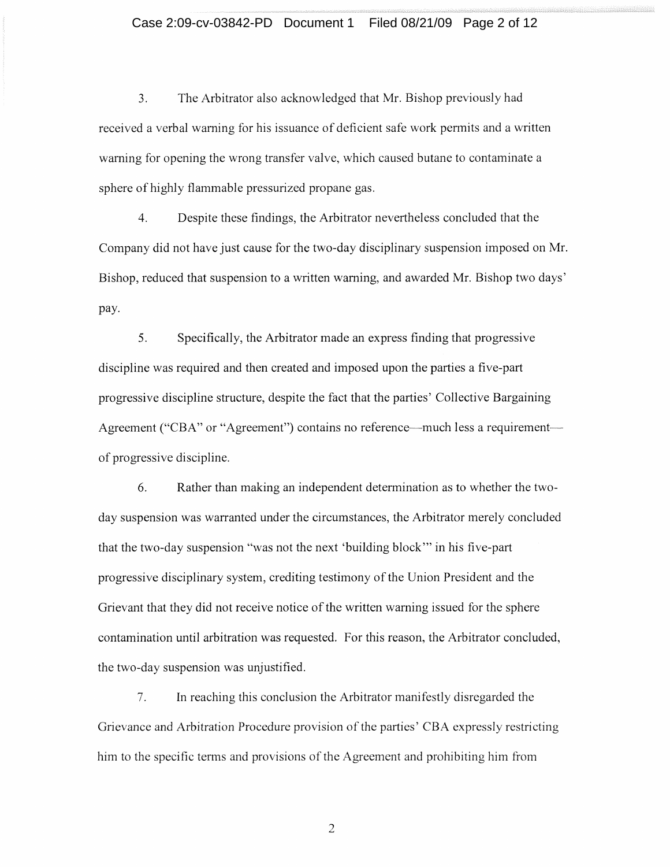# Case 2:09-cv-03842-PD Document 1 Filed 08/21/09 Page 2 of 12

3. The Arbitrator also acknowledged that Mr. Bishop previously had received a verbal warning for his issuance of deficient safe work permits and a written warning for opening the wrong transfer valve, which caused butane to contaminate a sphere of highly flammable pressurized propane gas.

4. Despite these findings, the Arbitrator nevertheless concluded that the Company did not have just cause for the two-day disciplinary suspension imposed on Mr. Bishop, reduced that suspension to a written warning, and awarded Mr. Bishop two days' pay.

5. Specifically, the Arbitrator made an express finding that progressive discipline was required and then created and imposed upon the parties a five-part progressive discipline structure, despite the fact that the parties' Collective Bargaining Agreement ("CBA" or "Agreement") contains no reference—much less a requirement of progressive discipline.

6. Rather than making an independent determination as to whether the twoday suspension was warranted under the circumstances, the Arbitrator merely concluded that the two-day suspension "was not the next 'building block '" in his five-part progressive disciplinary system, crediting testimony of the Union President and the Grievant that they did not receive notice of the written warning issued for the sphere contamination until arbitration was requested. For this reason, the Arbitrator concluded, the two-day suspension was unjustified.

7. In reaching this conclusion the Arbitrator manifestly disregarded the Grievance and Arbitration Procedure provision of the parties' CBA expressly restricting him to the specific terms and provisions of the Agreement and prohibiting him from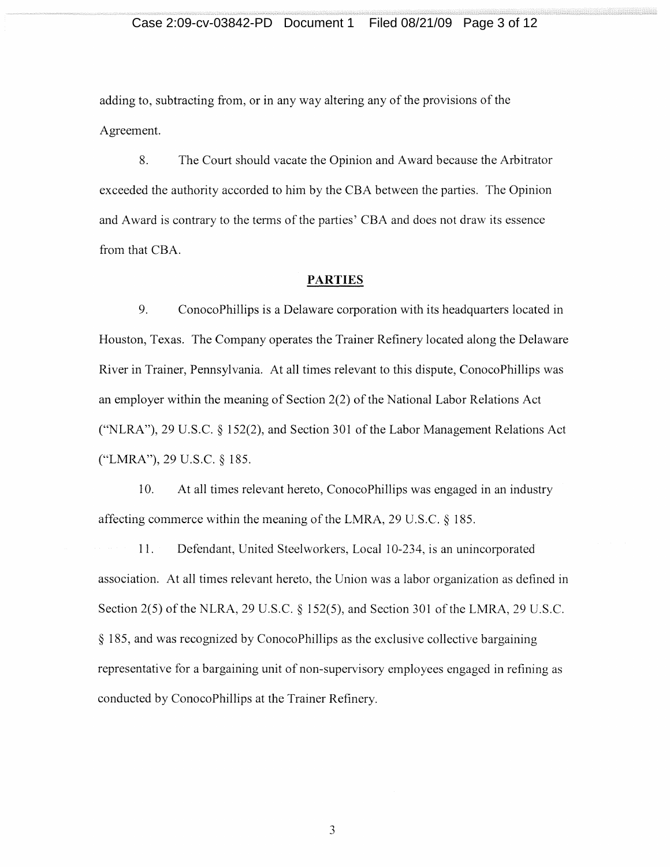# Case 2:09-cv-03842-PD Document 1 Filed 08/21/09 Page 3 of 12

adding to, subtracting from, or in any way altering any of the provisions of the Agreement.

8. The Court should vacate the Opinion and Award because the Arbitrator exceeded the authority accorded to him by the CBA between the parties. The Opinion and Award is contrary to the terms of the parties' CBA and does not draw its essence from that CBA.

#### **PARTIES**

9. ConocoPhillips is a Delaware corporation with its headquarters located in Houston, Texas. The Company operates the Trainer Refinery located along the Delaware River in Trainer, Pennsylvania. At all times relevant to this dispute, ConocoPhillips was an employer within the meaning of Section 2(2) of the National Labor Relations Act ("NLRA"), 29 U.S.C. § 152(2), and Section 301 of the Labor Management Relations Act ("LMRA"), 29 U.S.C. § 185.

10. At all times relevant hereto, ConocoPhillips was engaged in an industry affecting commerce within the meaning of the LMRA, 29 U.S.C. § 185.

11. Defendant, United Steelworkers, Local 10-234, is an unincorporated association. At all times relevant hereto, the Union was a labor organization as defined in Section 2(5) of the NLRA, 29 U.S.C. § 152(5), and Section 301 of the LMRA, 29 U.S.C. § 185, and was recognized by ConocoPhillips as the exclusive collective bargaining representative for a bargaining unit of non-supervisory employees engaged in refining as conducted by ConocoPhillips at the Trainer Refinery.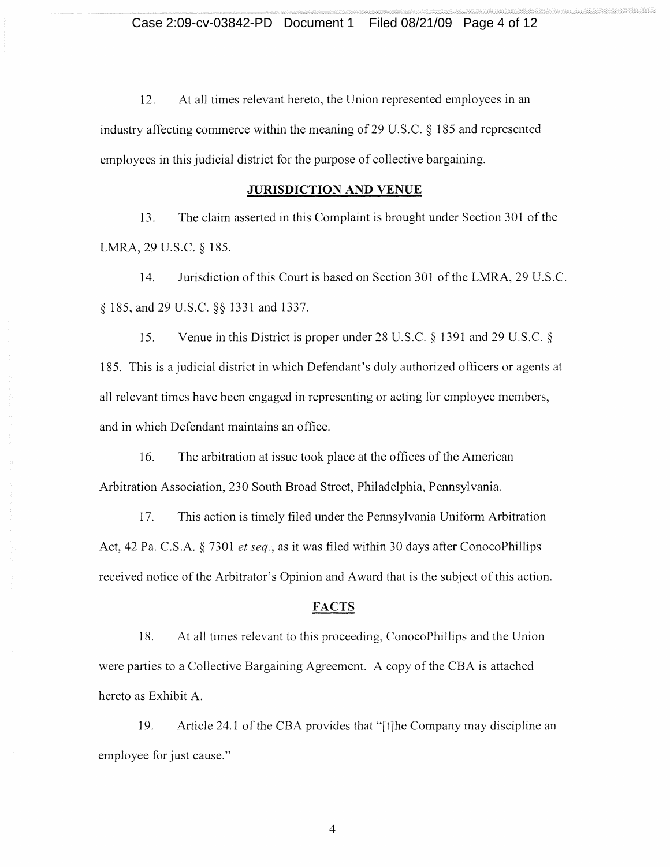12. At all times relevant hereto, the Union represented employees in an industry affecting commerce within the meaning of29 U.S.C. § 185 and represented employees in this judicial district for the purpose of collective bargaining.

# **JURISDICTION AND VENUE**

13. The claim asserted in this Complaint is brought under Section 301 of the LMRA, 29 U.S.C. § 185.

14. Jurisdiction of this Court is based on Section 301 of the LMRA, 29 U.S.C. § 185, and 29 U.S.C. §§ 1331 and 1337.

15. Venue in this District is proper under 28 U.S.C. § 1391 and 29 U.S.C. § 185. This is a judicial district in which Defendant's duly authorized officers or agents at all relevant times have been engaged in representing or acting for employee members, and in which Defendant maintains an office.

16. The arbitration at issue took place at the offices of the American Arbitration Association, 230 South Broad Street, Philadelphia, Pennsylvania.

17. This action is timely filed under the Pennsylvania Uniform Arbitration Act, 42 Pa. C.S.A. § 7301 *et seq.,* as it was filed within 30 days after ConocoPhillips received notice of the Arbitrator's Opinion and Award that is the subject of this action.

# **FACTS**

18. At all times relevant to this proceeding, ConocoPhillips and the Union were parties to a Collective Bargaining Agreement. A copy of the CBA is attached hereto as Exhibit A.

19. Article 24.1 of the CBA provides that " $[t]$ he Company may discipline an employee for just cause."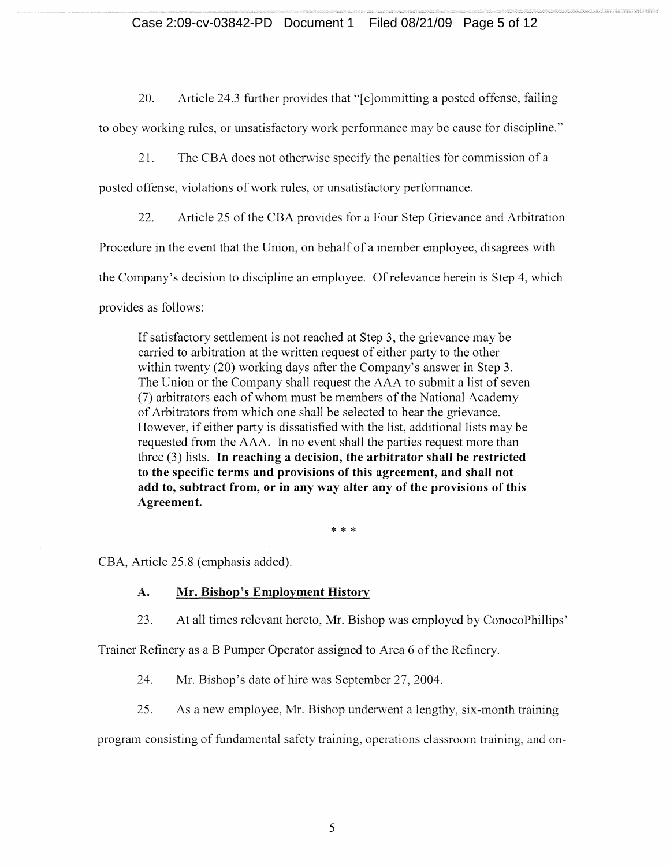# Case 2:09-cv-03842-PD Document 1 Filed 08/21/09 Page 5 of 12

20. Article 24.3 further provides that "[c]ommitting a posted offense, failing

to obey working rules, or unsatisfactory work performance may be cause for discipline."

21. The CBA does not otherwise specify the penalties for commission of a

posted offense, violations of work rules, or unsatisfactory performance.

22. Article 25 of the CBA provides for a Four Step Grievance and Arbitration

Procedure in the event that the Union, on behalf of a member employee, disagrees with

the Company's decision to discipline an employee. Of relevance herein is Step 4, which

provides as follows:

If satisfactory settlement is not reached at Step 3, the grievance may be carried to arbitration at the written request of either party to the other within twenty (20) working days after the Company's answer in Step 3. The Union or the Company shall request the AAA to submit a list of seven (7) arbitrators each of whom must be members of the National Academy of Arbitrators from which one shall be selected to hear the grievance. However, if either party is dissatisfied with the list, additional lists may be requested from the AAA. In no event shall the parties request more than three (3) lists. **In reaching a decision, the arbitrator shall be restricted to the specific terms and provisions of this agreement, and shall not add to, subtract from, or in any way alter any of the provisions of this Agreement.** 

\* \* \*

CBA, Article 25.8 (emphasis added).

# **A. Mr. Bishop's Employment History**

23. At all times relevant hereto, Mr. Bishop was employed by ConocoPhillips'

Trainer Refinery as a B Pumper Operator assigned to Area 6 of the Refinery.

24. Mr. Bishop's date of hire was September 27, 2004.

25. As a new employee, Mr. Bishop underwent a lengthy, six-month training

program consisting of fundamental safety training, operations classroom training, on-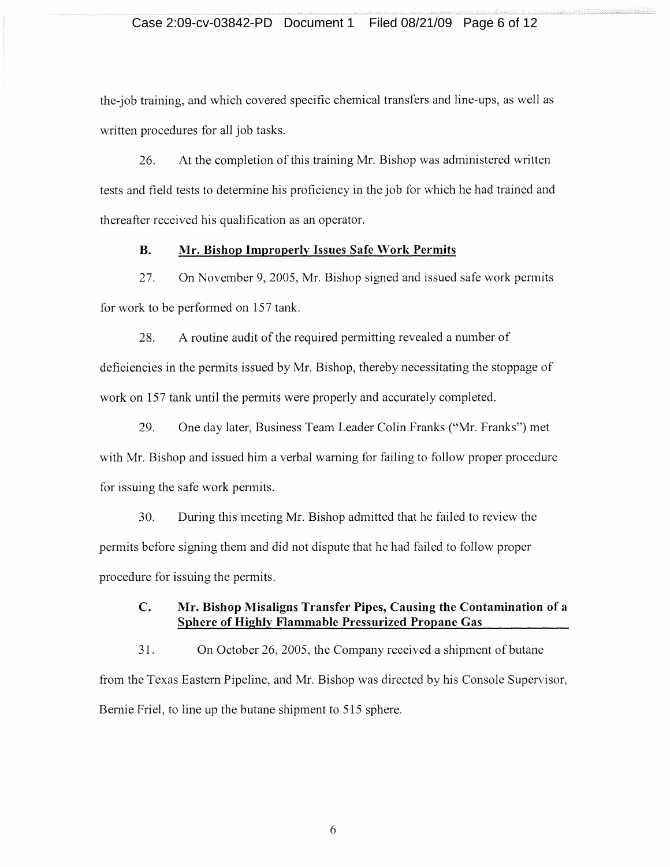# Case 2:09-cv-03842-PD Document 1 Filed 08/21/09 Page 6 of 12

the-job training, and which covered specific chemical transfers and line-ups, as well as written procedures for all job tasks.

26. At the completion of this training Mr. Bishop was administered written tests and field tests to determine his proficiency in the job for which he had trained and thereafter received his qualification as an operator.

# **B.** Mr. Bishop Improperly Issues Safe Work Permits

27. On November 9,2005, Mr. Bishop signed and issued safe work permits for work to be performed on 157 tank.

28. A routine audit of the required permitting revealed a number of deficiencies in the permits issued by Mr. Bishop, thereby necessitating the stoppage of work on 157 tank until the permits were properly and accurately completed.

29. One day later, Business Team Leader Colin Franks ("Mr. Franks") met with Mr. Bishop and issued him a verbal warning for failing to follow proper procedure for issuing the safe work permits.

30. During this meeting Mr. Bishop admitted that he failed to review the permits before signing them and did not dispute that he had failed to follow proper procedure for issuing the permits.

# **C. Mr. Bishop Misaligns Transfer Pipes, Causing the Contamination of a Sphere of Highlv Flammable Pressurized Propane Gas**

31. On October 26, 2005, the Company received a shipment of butane from the Texas Eastern Pipeline, and Mr. Bishop was directed by his Console Supervisor, Bernie Friel, to line up the butane shipment to 515 sphere.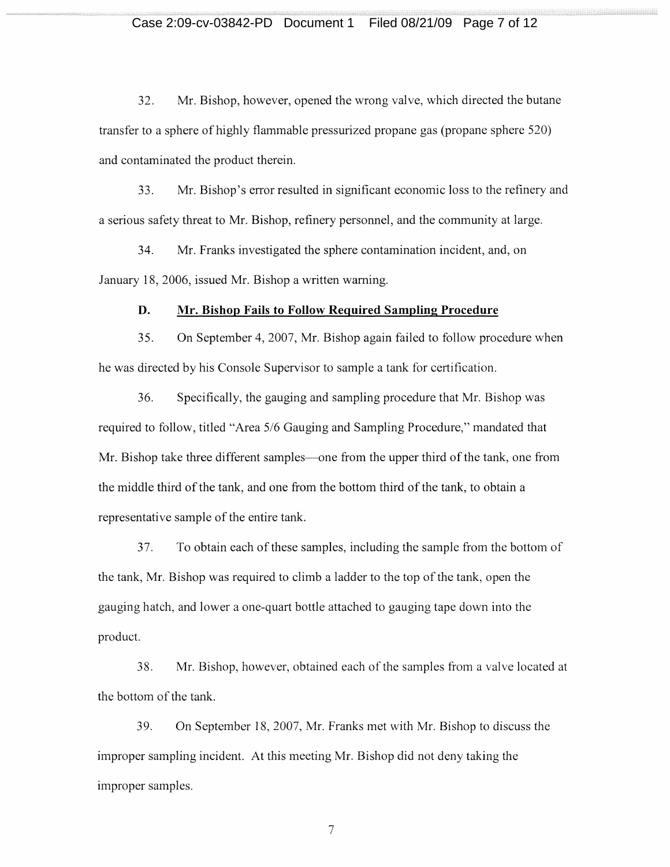# Case 2:09-cv-03842-PD Document 1 Filed 08/21/09 Page 7 of 12

32. Mr. Bishop, however, opened the wrong valve, which directed the butane transfer to a sphere of highly flammable pressurized propane gas (propane sphere 520) and contaminated the product therein.

33. Mr. Bishop's error resulted in significant economic loss to the refinery and a serious safety threat to Mr. Bishop, refinery personnel, and the community at large.

34. Mr. Franks investigated the sphere contamination incident, and, on January 18,2006, issued Mr. Bishop a written warning.

#### **D. Mr. Bishop Fails to Follow Required Sampling Procedure**

35. On September 4, 2007, Mr. Bishop again failed to follow procedure when he was directed by his Console Supervisor to sample a tank for certification.

36. Specifically, the gauging and sampling procedure that Mr. Bishop was required to follow, titled "Area 5/6 Gauging and Sampling Procedure," mandated that Mr. Bishop take three different samples—one from the upper third of the tank, one from the middle third of the tank, and one from the bottom third of the tank, to obtain a representative sample of the entire tank.

37. To obtain each of these samples, including the sample from the bottom of the tank, Mr. Bishop was required to climb a ladder to the top of the tank, open the gauging hatch, and lower a one-quart bottle attached to gauging tape down into the product.

38. Mr. Bishop, however, obtained each of the samples from a valve located at the bottom of the tank.

39. On September 18, 2007, Mr. Franks met with Mr. Bishop to discuss the improper smnpling incident. At this meeting Mr. Bishop did not deny taking the improper samples.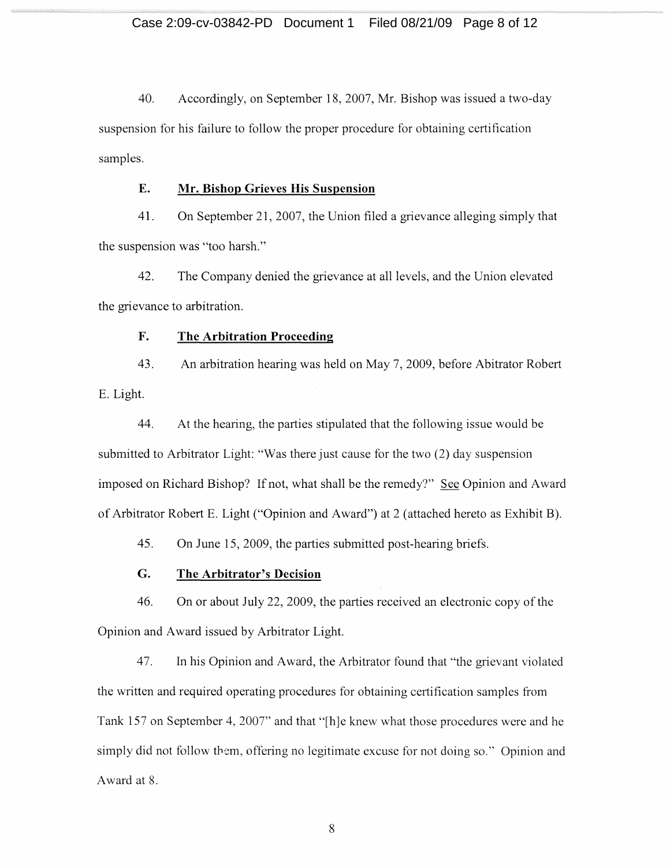40. Accordingly, on September 18, 2007, Mr. Bishop was issued a two-day suspension for his failure to follow the proper procedure for obtaining certification samples.

# **E. Mr. Bishop Grieves His Suspension**

41. On September 21, 2007, the Union filed a grievance alleging simply that the suspension was "too harsh."

42. The Company denied the grievance at all levels, and the Union elevated the grievance to arbitration.

#### **F. The Arbitration Proceeding**

43. E. Light. An arbitration hearing was held on May 7,2009, before Abitrator Robert

44. At the hearing, the parties stipulated that the following issue would be submitted to Arbitrator Light: "Was there just cause for the two (2) day suspension imposed on Richard Bishop? If not, what shall be the remedy?" See Opinion and Award of Arbitrator Robert E. Light ("Opinion and Award") at 2 (attached hereto as Exhibit B).

45. On June 15, 2009, the parties submitted post-hearing briefs.

# **G. The Arbitrator's Decision**

46. On or about July 22, 2009, the parties received an electronic copy of the Opinion and Award issued by Arbitrator Light.

47. In his Opinion and Award, the Arbitrator found that "the grievant violated the written and required operating procedures for obtaining certification samples from Tank 157 on September 4, 2007" and that "[h]e knew what those procedures were and he simply did not follow them, offering no legitimate excuse for not doing so." Opinion and Award at 8.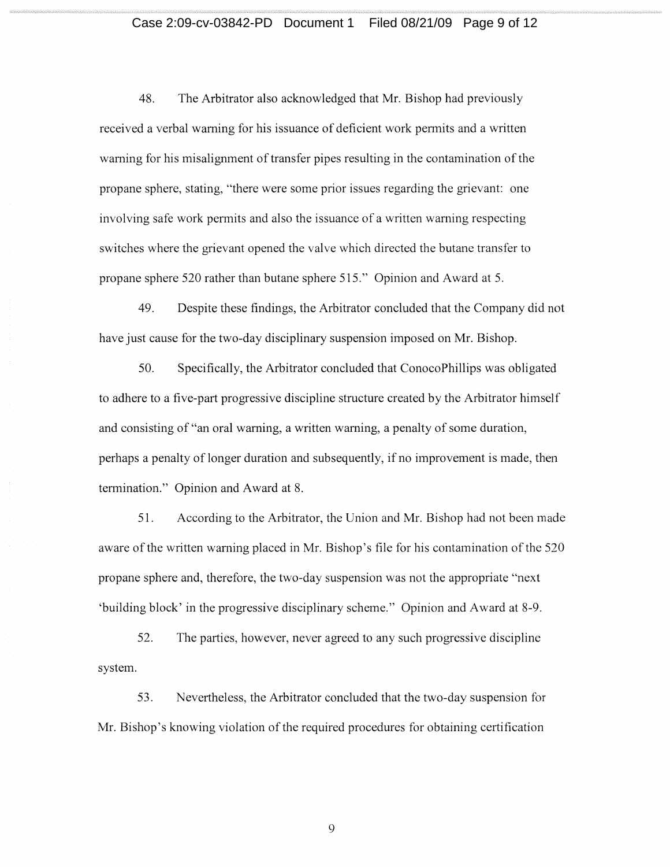# Case 2:09-cv-03842-PD Document 1 Filed 08/21/09 Page 9 of 12

48. The Arbitrator also acknowledged that Mr. Bishop had previously received a verbal warning for his issuance of deficient work pennits and a written 'warning for his misalignment of transfer pipes resulting in the contamination of the propane sphere, stating, "there were some prior issues regarding the grievant: one involving safe work permits and also the issuance of a written warning respecting switches where the grievant opened the valve which directed the butane transfer to propane sphere 520 rather than butane sphere 515." Opinion and Award at 5.

49. Despite these findings, the Arbitrator concluded that the Company did not have just cause for the two-day disciplinary suspension imposed on Mr. Bishop.

50. Specifically, the Arbitrator concluded that ConocoPhillips was obligated to adhere to a five-part progressive discipline structure created by the Arbitrator himself and consisting of "an oral warning, a written warning, a penalty of some duration, perhaps a penalty of longer duration and subsequently, if no improvement is made, then termination." Opinion and Award at 8.

51. According to the Arbitrator, the Union and Mr. Bishop had not been made aware of the written warning placed in Mr. Bishop's file for his contamination of the 520 propane sphere and, therefore, the two-day suspension was not the appropriate "next 'building block' in the progressive disciplinary scheme." Opinion and A ward at 8-9.

52. The parties, however, never agreed to any such progressive discipline system.

53. Nevertheless, the Arbitrator concluded that the two-day suspension for Mr. Bishop's knowing violation of the required procedures for obtaining certification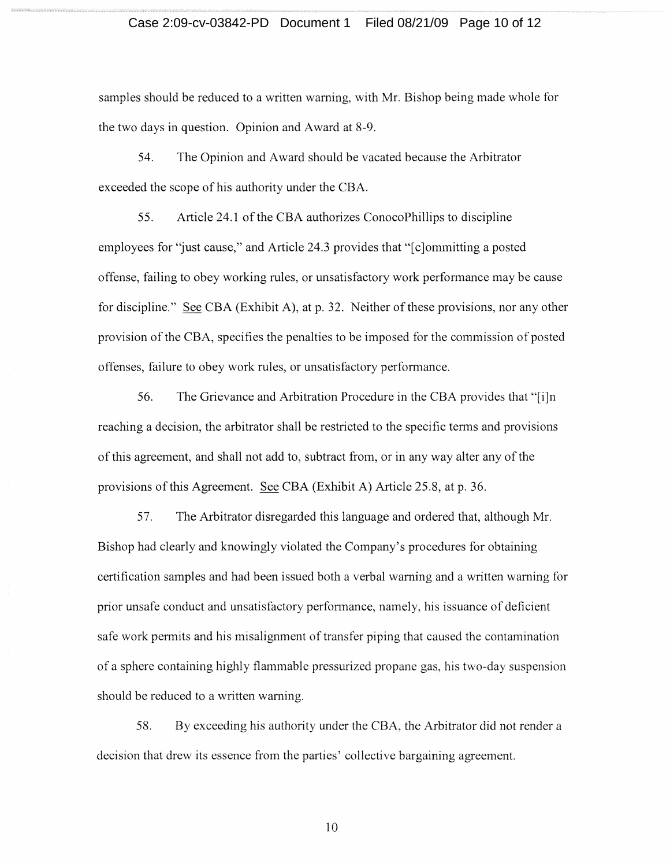# Case 2:09-cv-03842-PD Document 1 Filed 08/21/09 Page 10 of 12

samples should be reduced to a written warning, with Mr. Bishop being made whole for the two days in question. Opinion and Award at 8-9.

54. The Opinion and Award should be vacated because the Arbitrator exceeded the scope of his authority under the CBA.

55. Article 24.1 of the CBA authorizes ConocoPhillips to discipline employees for "just cause," and Article 24.3 provides that "[c]ommitting a posted offense, failing to obey working rules, or unsatisfactory work performance may be cause for discipline." See CBA (Exhibit A), at p. 32. Neither of these provisions, nor any other provision of the CBA, specifies the penalties to be imposed for the commission of posted offenses, failure to obey work rules, or unsatisfactory performance.

56. The Grievance and Arbitration Procedure in the CBA provides that "[i]n reaching a decision, the arbitrator shall be restricted to the specific terms and provisions of this agreement, and shall not add to, subtract from, or in any way alter any of the provisions of this Agreement. See CBA (Exhibit A) Article 25.8, at p. 36.

57. The Arbitrator disregarded this language and ordered that, although Mr. Bishop had clearly and knowingly violated the Company's procedures for obtaining certification samples and had been issued both a verbal warning and a written warning for prior unsafe conduct and unsatisfactory performance, namely, his issuance of deficient safe work permits and his misalignment of transfer piping that caused the contamination of a sphere containing highly flammable pressurized propane gas, his two-day suspension should be reduced to a written warning.

58. By exceeding his authority under the CBA, the Arbitrator did not render a decision that drew its essence from the parties' collective bargaining agreement.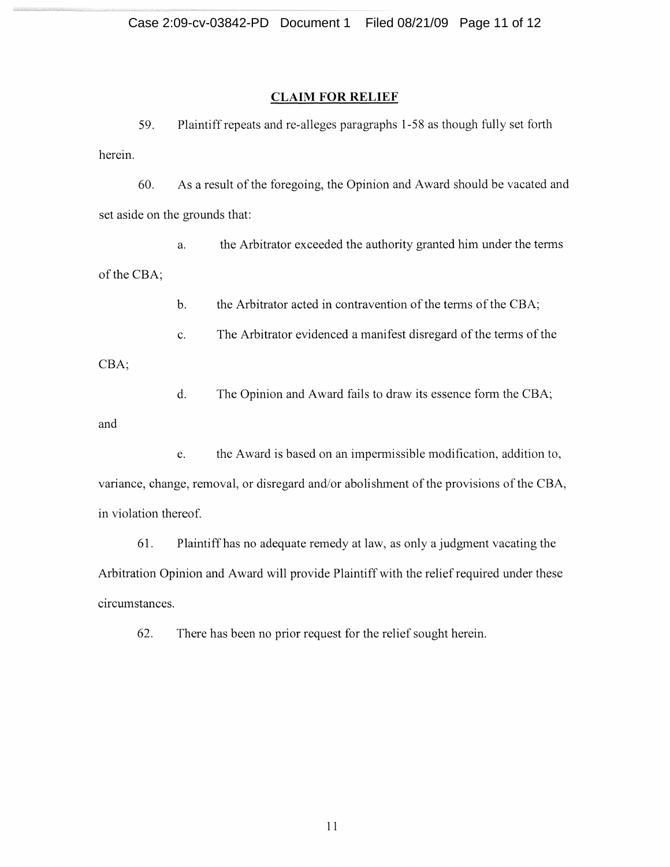# **CLAIM FOR RELIEF**

59. Plaintiff repeats and re-alleges paragraphs 1-58 as though fully set forth herein.

60. As a result of the foregoing, the Opinion and Award should be vacated and set aside on the grounds that:

of the CBA; a. the Arbitrator exceeded the authority granted him under the terms

> b. the Arbitrator acted in contravention of the tenns of the CBA;

c. The Arbitrator evidenced a manifest disregard of the tenns of the

CBA;

d. The Opinion and Award fails to draw its essence form the CBA;

and

e. the Award is based on an impermissible modification, addition to, variance, change, removal, or disregard and/or abolishment of the provisions of the CBA, in violation thereof.

61. Plaintiff has no adequate remedy at law, as only a judgment vacating the Arbitration Opinion and Award will provide Plaintiff with the relief required under these circumstances.

62. There has been no prior request for the relief sought herein.